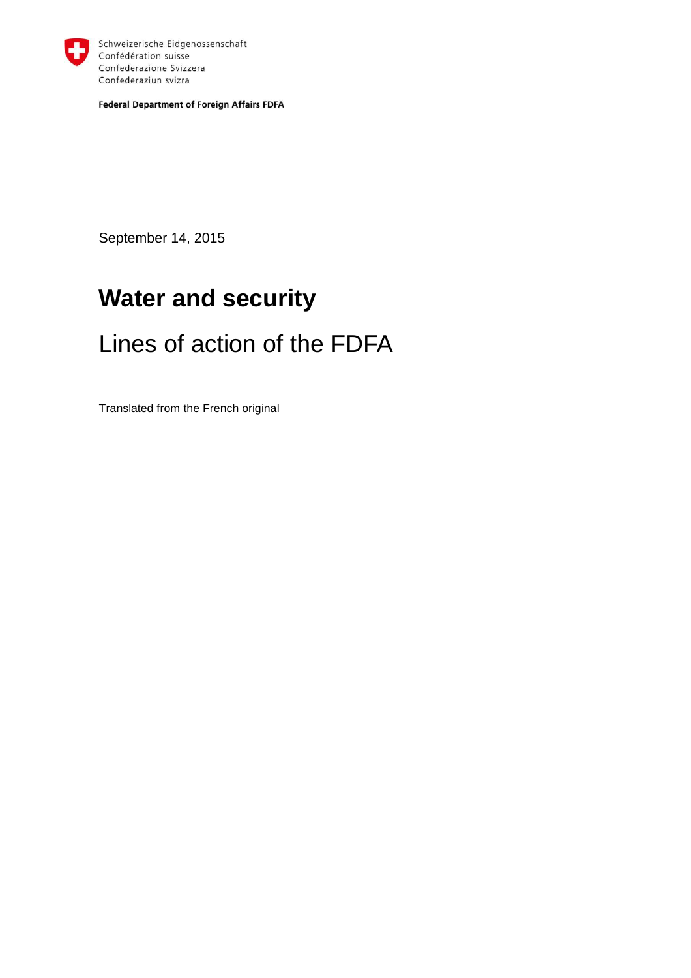

Schweizerische Eidgenossenschaft Confédération suisse Confederazione Svizzera Confederaziun svizra

**Federal Department of Foreign Affairs FDFA** 

September 14, 2015

# **Water and security**

# Lines of action of the FDFA

Translated from the French original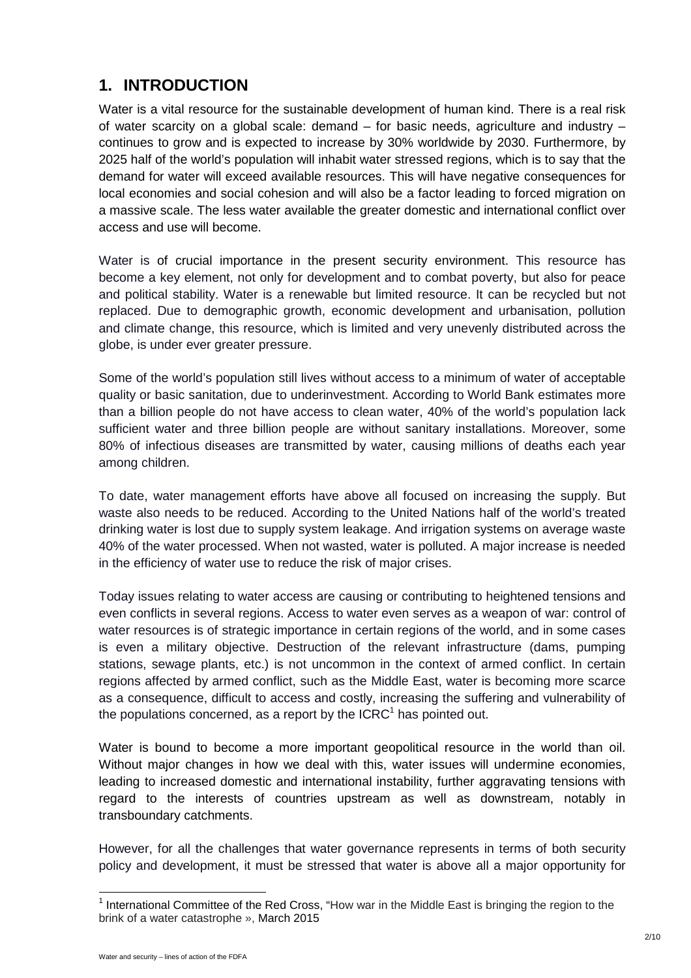### **1. INTRODUCTION**

Water is a vital resource for the sustainable development of human kind. There is a real risk of water scarcity on a global scale: demand – for basic needs, agriculture and industry – continues to grow and is expected to increase by 30% worldwide by 2030. Furthermore, by 2025 half of the world's population will inhabit water stressed regions, which is to say that the demand for water will exceed available resources. This will have negative consequences for local economies and social cohesion and will also be a factor leading to forced migration on a massive scale. The less water available the greater domestic and international conflict over access and use will become.

Water is of crucial importance in the present security environment. This resource has become a key element, not only for development and to combat poverty, but also for peace and political stability. Water is a renewable but limited resource. It can be recycled but not replaced. Due to demographic growth, economic development and urbanisation, pollution and climate change, this resource, which is limited and very unevenly distributed across the globe, is under ever greater pressure.

Some of the world's population still lives without access to a minimum of water of acceptable quality or basic sanitation, due to underinvestment. According to World Bank estimates more than a billion people do not have access to clean water, 40% of the world's population lack sufficient water and three billion people are without sanitary installations. Moreover, some 80% of infectious diseases are transmitted by water, causing millions of deaths each year among children.

To date, water management efforts have above all focused on increasing the supply. But waste also needs to be reduced. According to the United Nations half of the world's treated drinking water is lost due to supply system leakage. And irrigation systems on average waste 40% of the water processed. When not wasted, water is polluted. A major increase is needed in the efficiency of water use to reduce the risk of major crises.

Today issues relating to water access are causing or contributing to heightened tensions and even conflicts in several regions. Access to water even serves as a weapon of war: control of water resources is of strategic importance in certain regions of the world, and in some cases is even a military objective. Destruction of the relevant infrastructure (dams, pumping stations, sewage plants, etc.) is not uncommon in the context of armed conflict. In certain regions affected by armed conflict, such as the Middle East, water is becoming more scarce as a consequence, difficult to access and costly, increasing the suffering and vulnerability of the populations concerned, as a report by the  $ICRC<sup>1</sup>$  has pointed out.

Water is bound to become a more important geopolitical resource in the world than oil. Without major changes in how we deal with this, water issues will undermine economies, leading to increased domestic and international instability, further aggravating tensions with regard to the interests of countries upstream as well as downstream, notably in transboundary catchments.

However, for all the challenges that water governance represents in terms of both security policy and development, it must be stressed that water is above all a major opportunity for

 $\overline{a}$ 

<sup>&</sup>lt;sup>1</sup> International Committee of the Red Cross, "How war in the Middle East is bringing the region to the brink of a water catastrophe », March 2015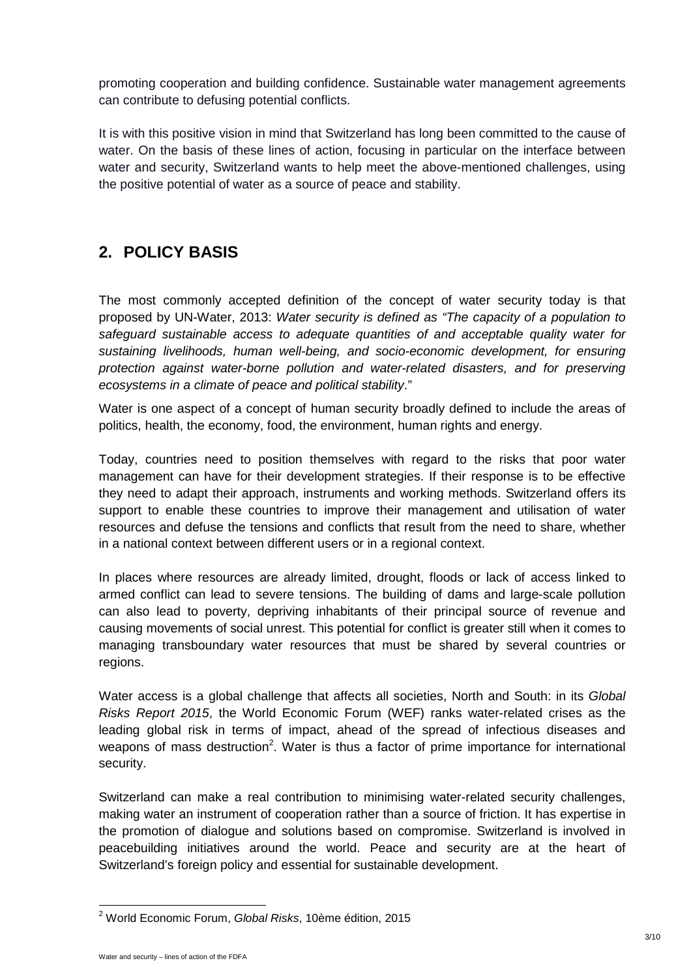promoting cooperation and building confidence. Sustainable water management agreements can contribute to defusing potential conflicts.

It is with this positive vision in mind that Switzerland has long been committed to the cause of water. On the basis of these lines of action, focusing in particular on the interface between water and security, Switzerland wants to help meet the above-mentioned challenges, using the positive potential of water as a source of peace and stability.

## **2. POLICY BASIS**

The most commonly accepted definition of the concept of water security today is that proposed by UN-Water, 2013: Water security is defined as "The capacity of a population to safeguard sustainable access to adequate quantities of and acceptable quality water for sustaining livelihoods, human well-being, and socio-economic development, for ensuring protection against water-borne pollution and water-related disasters, and for preserving ecosystems in a climate of peace and political stability."

Water is one aspect of a concept of human security broadly defined to include the areas of politics, health, the economy, food, the environment, human rights and energy.

Today, countries need to position themselves with regard to the risks that poor water management can have for their development strategies. If their response is to be effective they need to adapt their approach, instruments and working methods. Switzerland offers its support to enable these countries to improve their management and utilisation of water resources and defuse the tensions and conflicts that result from the need to share, whether in a national context between different users or in a regional context.

In places where resources are already limited, drought, floods or lack of access linked to armed conflict can lead to severe tensions. The building of dams and large-scale pollution can also lead to poverty, depriving inhabitants of their principal source of revenue and causing movements of social unrest. This potential for conflict is greater still when it comes to managing transboundary water resources that must be shared by several countries or regions.

Water access is a global challenge that affects all societies, North and South: in its Global Risks Report 2015, the World Economic Forum (WEF) ranks water-related crises as the leading global risk in terms of impact, ahead of the spread of infectious diseases and weapons of mass destruction<sup>2</sup>. Water is thus a factor of prime importance for international security.

Switzerland can make a real contribution to minimising water-related security challenges, making water an instrument of cooperation rather than a source of friction. It has expertise in the promotion of dialogue and solutions based on compromise. Switzerland is involved in peacebuilding initiatives around the world. Peace and security are at the heart of Switzerland's foreign policy and essential for sustainable development.

 2 World Economic Forum, Global Risks, 10ème édition, 2015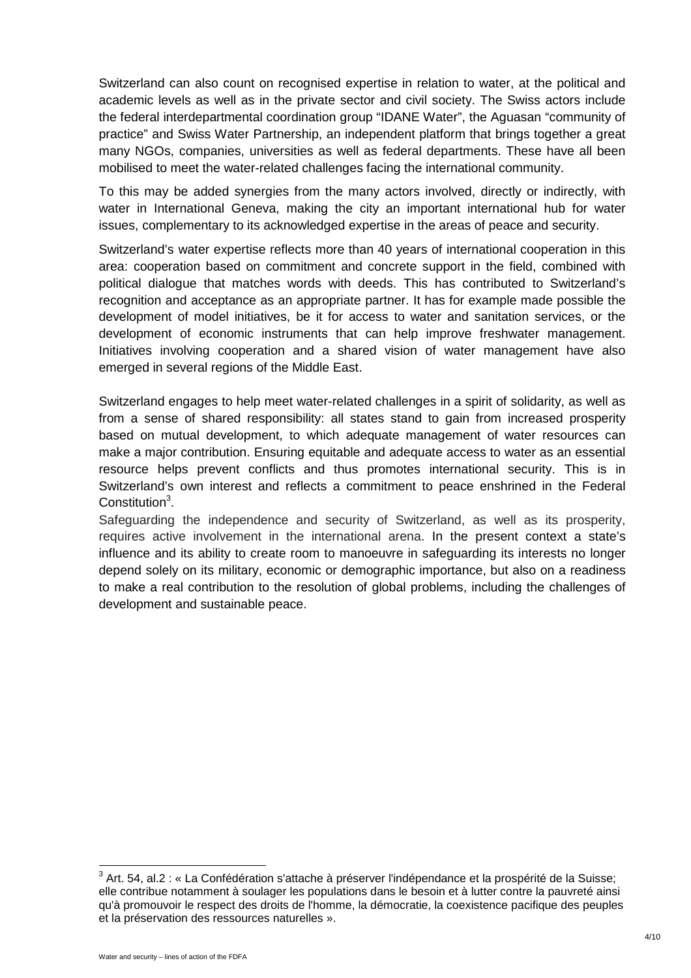Switzerland can also count on recognised expertise in relation to water, at the political and academic levels as well as in the private sector and civil society. The Swiss actors include the federal interdepartmental coordination group "IDANE Water", the Aguasan "community of practice" and Swiss Water Partnership, an independent platform that brings together a great many NGOs, companies, universities as well as federal departments. These have all been mobilised to meet the water-related challenges facing the international community.

To this may be added synergies from the many actors involved, directly or indirectly, with water in International Geneva, making the city an important international hub for water issues, complementary to its acknowledged expertise in the areas of peace and security.

Switzerland's water expertise reflects more than 40 years of international cooperation in this area: cooperation based on commitment and concrete support in the field, combined with political dialogue that matches words with deeds. This has contributed to Switzerland's recognition and acceptance as an appropriate partner. It has for example made possible the development of model initiatives, be it for access to water and sanitation services, or the development of economic instruments that can help improve freshwater management. Initiatives involving cooperation and a shared vision of water management have also emerged in several regions of the Middle East.

Switzerland engages to help meet water-related challenges in a spirit of solidarity, as well as from a sense of shared responsibility: all states stand to gain from increased prosperity based on mutual development, to which adequate management of water resources can make a major contribution. Ensuring equitable and adequate access to water as an essential resource helps prevent conflicts and thus promotes international security. This is in Switzerland's own interest and reflects a commitment to peace enshrined in the Federal Constitution<sup>3</sup>.

Safeguarding the independence and security of Switzerland, as well as its prosperity, requires active involvement in the international arena. In the present context a state's influence and its ability to create room to manoeuvre in safeguarding its interests no longer depend solely on its military, economic or demographic importance, but also on a readiness to make a real contribution to the resolution of global problems, including the challenges of development and sustainable peace.

 $^3$  Art. 54, al.2 : « La Confédération s'attache à préserver l'indépendance et la prospérité de la Suisse; elle contribue notamment à soulager les populations dans le besoin et à lutter contre la pauvreté ainsi qu'à promouvoir le respect des droits de l'homme, la démocratie, la coexistence pacifique des peuples et la préservation des ressources naturelles ».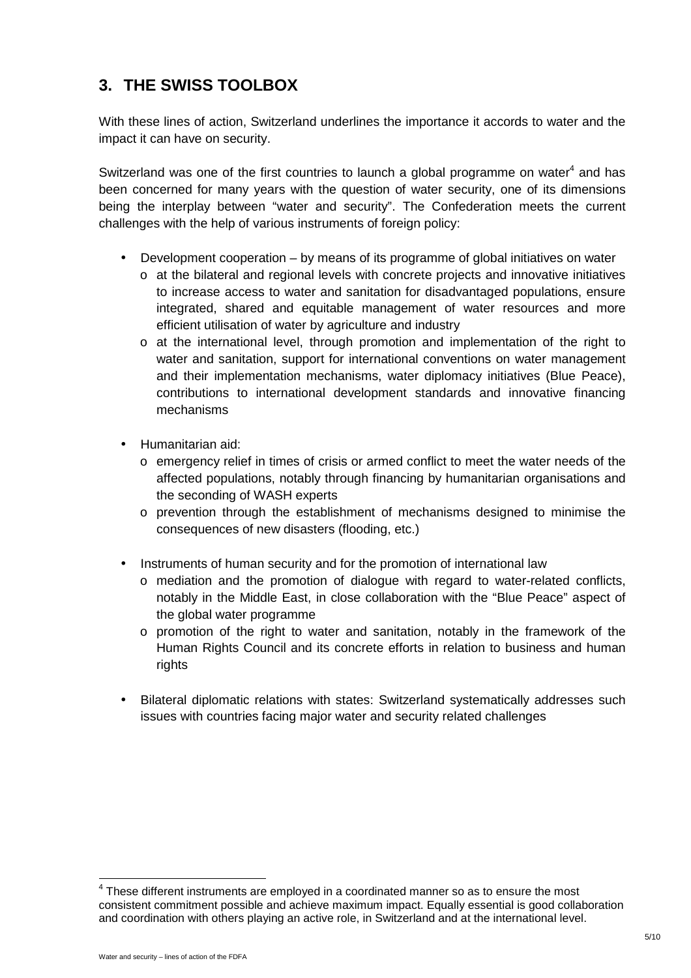## **3. THE SWISS TOOLBOX**

With these lines of action, Switzerland underlines the importance it accords to water and the impact it can have on security.

Switzerland was one of the first countries to launch a global programme on water $4$  and has been concerned for many years with the question of water security, one of its dimensions being the interplay between "water and security". The Confederation meets the current challenges with the help of various instruments of foreign policy:

- Development cooperation by means of its programme of global initiatives on water
	- $\circ$  at the bilateral and regional levels with concrete projects and innovative initiatives to increase access to water and sanitation for disadvantaged populations, ensure integrated, shared and equitable management of water resources and more efficient utilisation of water by agriculture and industry
	- $\circ$  at the international level, through promotion and implementation of the right to water and sanitation, support for international conventions on water management and their implementation mechanisms, water diplomacy initiatives (Blue Peace), contributions to international development standards and innovative financing mechanisms
- Humanitarian aid:
	- $\circ$  emergency relief in times of crisis or armed conflict to meet the water needs of the affected populations, notably through financing by humanitarian organisations and the seconding of WASH experts
	- o prevention through the establishment of mechanisms designed to minimise the consequences of new disasters (flooding, etc.)
- Instruments of human security and for the promotion of international law
	- o mediation and the promotion of dialogue with regard to water-related conflicts, notably in the Middle East, in close collaboration with the "Blue Peace" aspect of the global water programme
	- $\circ$  promotion of the right to water and sanitation, notably in the framework of the Human Rights Council and its concrete efforts in relation to business and human rights
- Bilateral diplomatic relations with states: Switzerland systematically addresses such issues with countries facing major water and security related challenges

 $4$  These different instruments are employed in a coordinated manner so as to ensure the most consistent commitment possible and achieve maximum impact. Equally essential is good collaboration and coordination with others playing an active role, in Switzerland and at the international level.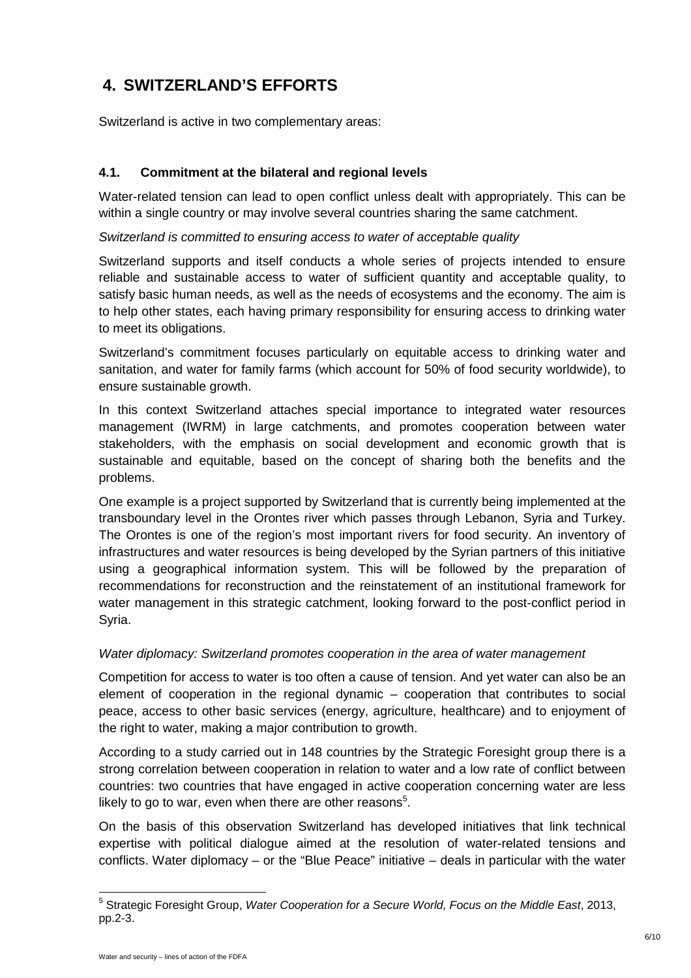# **4. SWITZERLAND'S EFFORTS**

Switzerland is active in two complementary areas:

#### **4.1. Commitment at the bilateral and regional levels**

Water-related tension can lead to open conflict unless dealt with appropriately. This can be within a single country or may involve several countries sharing the same catchment.

Switzerland is committed to ensuring access to water of acceptable quality

Switzerland supports and itself conducts a whole series of projects intended to ensure reliable and sustainable access to water of sufficient quantity and acceptable quality, to satisfy basic human needs, as well as the needs of ecosystems and the economy. The aim is to help other states, each having primary responsibility for ensuring access to drinking water to meet its obligations.

Switzerland's commitment focuses particularly on equitable access to drinking water and sanitation, and water for family farms (which account for 50% of food security worldwide), to ensure sustainable growth.

In this context Switzerland attaches special importance to integrated water resources management (IWRM) in large catchments, and promotes cooperation between water stakeholders, with the emphasis on social development and economic growth that is sustainable and equitable, based on the concept of sharing both the benefits and the problems.

One example is a project supported by Switzerland that is currently being implemented at the transboundary level in the Orontes river which passes through Lebanon, Syria and Turkey. The Orontes is one of the region's most important rivers for food security. An inventory of infrastructures and water resources is being developed by the Syrian partners of this initiative using a geographical information system. This will be followed by the preparation of recommendations for reconstruction and the reinstatement of an institutional framework for water management in this strategic catchment, looking forward to the post-conflict period in Syria.

#### Water diplomacy: Switzerland promotes cooperation in the area of water management

Competition for access to water is too often a cause of tension. And yet water can also be an element of cooperation in the regional dynamic – cooperation that contributes to social peace, access to other basic services (energy, agriculture, healthcare) and to enjoyment of the right to water, making a major contribution to growth.

According to a study carried out in 148 countries by the Strategic Foresight group there is a strong correlation between cooperation in relation to water and a low rate of conflict between countries: two countries that have engaged in active cooperation concerning water are less likely to go to war, even when there are other reasons $5$ .

On the basis of this observation Switzerland has developed initiatives that link technical expertise with political dialogue aimed at the resolution of water-related tensions and conflicts. Water diplomacy – or the "Blue Peace" initiative – deals in particular with the water

 $\overline{a}$ 

<sup>&</sup>lt;sup>5</sup> Strategic Foresight Group, Water Cooperation for a Secure World, Focus on the Middle East, 2013, pp.2-3.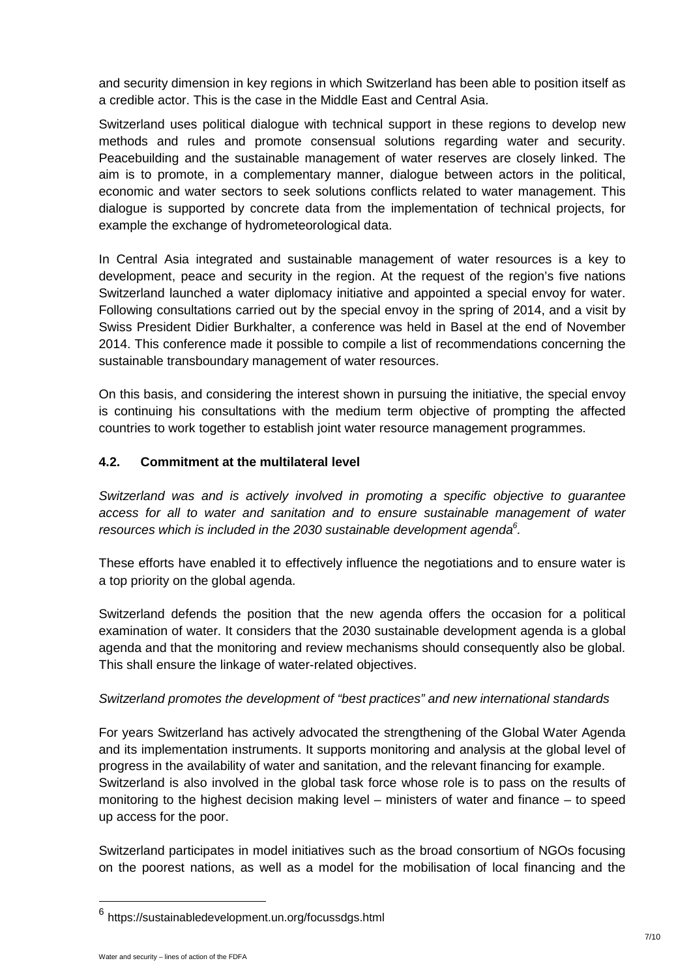and security dimension in key regions in which Switzerland has been able to position itself as a credible actor. This is the case in the Middle East and Central Asia.

Switzerland uses political dialogue with technical support in these regions to develop new methods and rules and promote consensual solutions regarding water and security. Peacebuilding and the sustainable management of water reserves are closely linked. The aim is to promote, in a complementary manner, dialogue between actors in the political, economic and water sectors to seek solutions conflicts related to water management. This dialogue is supported by concrete data from the implementation of technical projects, for example the exchange of hydrometeorological data.

In Central Asia integrated and sustainable management of water resources is a key to development, peace and security in the region. At the request of the region's five nations Switzerland launched a water diplomacy initiative and appointed a special envoy for water. Following consultations carried out by the special envoy in the spring of 2014, and a visit by Swiss President Didier Burkhalter, a conference was held in Basel at the end of November 2014. This conference made it possible to compile a list of recommendations concerning the sustainable transboundary management of water resources.

On this basis, and considering the interest shown in pursuing the initiative, the special envoy is continuing his consultations with the medium term objective of prompting the affected countries to work together to establish joint water resource management programmes.

#### **4.2. Commitment at the multilateral level**

Switzerland was and is actively involved in promoting a specific objective to guarantee access for all to water and sanitation and to ensure sustainable management of water resources which is included in the 2030 sustainable development agenda $6$ .

These efforts have enabled it to effectively influence the negotiations and to ensure water is a top priority on the global agenda.

Switzerland defends the position that the new agenda offers the occasion for a political examination of water. It considers that the 2030 sustainable development agenda is a global agenda and that the monitoring and review mechanisms should consequently also be global. This shall ensure the linkage of water-related objectives.

#### Switzerland promotes the development of "best practices" and new international standards

For years Switzerland has actively advocated the strengthening of the Global Water Agenda and its implementation instruments. It supports monitoring and analysis at the global level of progress in the availability of water and sanitation, and the relevant financing for example. Switzerland is also involved in the global task force whose role is to pass on the results of monitoring to the highest decision making level – ministers of water and finance – to speed up access for the poor.

Switzerland participates in model initiatives such as the broad consortium of NGOs focusing on the poorest nations, as well as a model for the mobilisation of local financing and the

<sup>&</sup>lt;sup>6</sup> https://sustainabledevelopment.un.org/focussdgs.html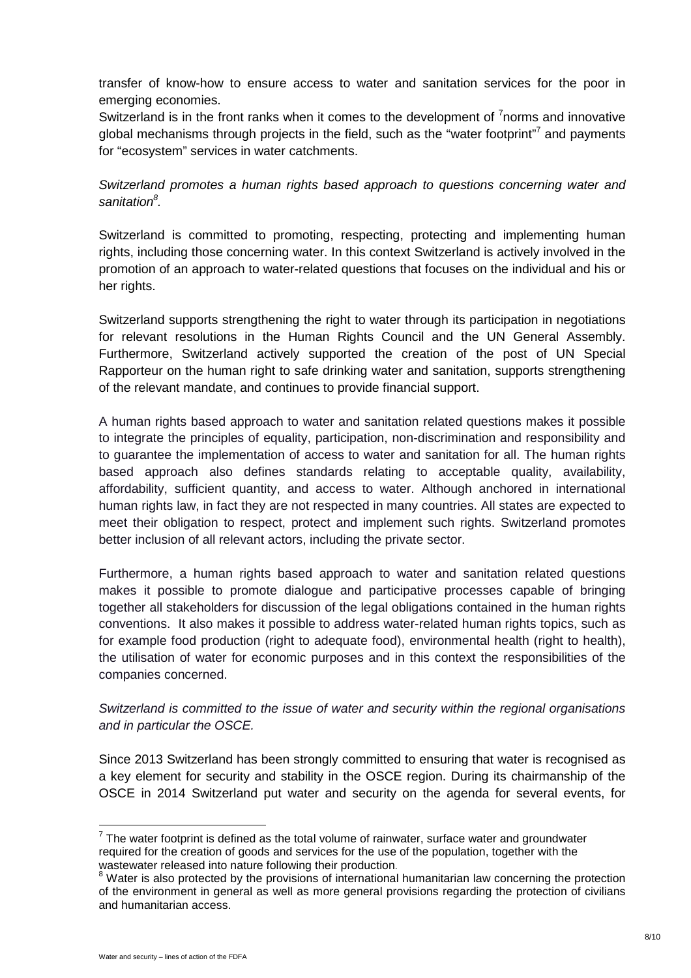transfer of know-how to ensure access to water and sanitation services for the poor in emerging economies.

Switzerland is in the front ranks when it comes to the development of  $7$ norms and innovative global mechanisms through projects in the field, such as the "water footprint"<sup>7</sup> and payments for "ecosystem" services in water catchments.

Switzerland promotes a human rights based approach to questions concerning water and sanitation<sup>8</sup>.

Switzerland is committed to promoting, respecting, protecting and implementing human rights, including those concerning water. In this context Switzerland is actively involved in the promotion of an approach to water-related questions that focuses on the individual and his or her rights.

Switzerland supports strengthening the right to water through its participation in negotiations for relevant resolutions in the Human Rights Council and the UN General Assembly. Furthermore, Switzerland actively supported the creation of the post of UN Special Rapporteur on the human right to safe drinking water and sanitation, supports strengthening of the relevant mandate, and continues to provide financial support.

A human rights based approach to water and sanitation related questions makes it possible to integrate the principles of equality, participation, non-discrimination and responsibility and to guarantee the implementation of access to water and sanitation for all. The human rights based approach also defines standards relating to acceptable quality, availability, affordability, sufficient quantity, and access to water. Although anchored in international human rights law, in fact they are not respected in many countries. All states are expected to meet their obligation to respect, protect and implement such rights. Switzerland promotes better inclusion of all relevant actors, including the private sector.

Furthermore, a human rights based approach to water and sanitation related questions makes it possible to promote dialogue and participative processes capable of bringing together all stakeholders for discussion of the legal obligations contained in the human rights conventions. It also makes it possible to address water-related human rights topics, such as for example food production (right to adequate food), environmental health (right to health), the utilisation of water for economic purposes and in this context the responsibilities of the companies concerned.

Switzerland is committed to the issue of water and security within the regional organisations and in particular the OSCE.

Since 2013 Switzerland has been strongly committed to ensuring that water is recognised as a key element for security and stability in the OSCE region. During its chairmanship of the OSCE in 2014 Switzerland put water and security on the agenda for several events, for

 $7$  The water footprint is defined as the total volume of rainwater, surface water and groundwater required for the creation of goods and services for the use of the population, together with the wastewater released into nature following their production.

<sup>&</sup>lt;sup>8</sup> Water is also protected by the provisions of international humanitarian law concerning the protection of the environment in general as well as more general provisions regarding the protection of civilians and humanitarian access.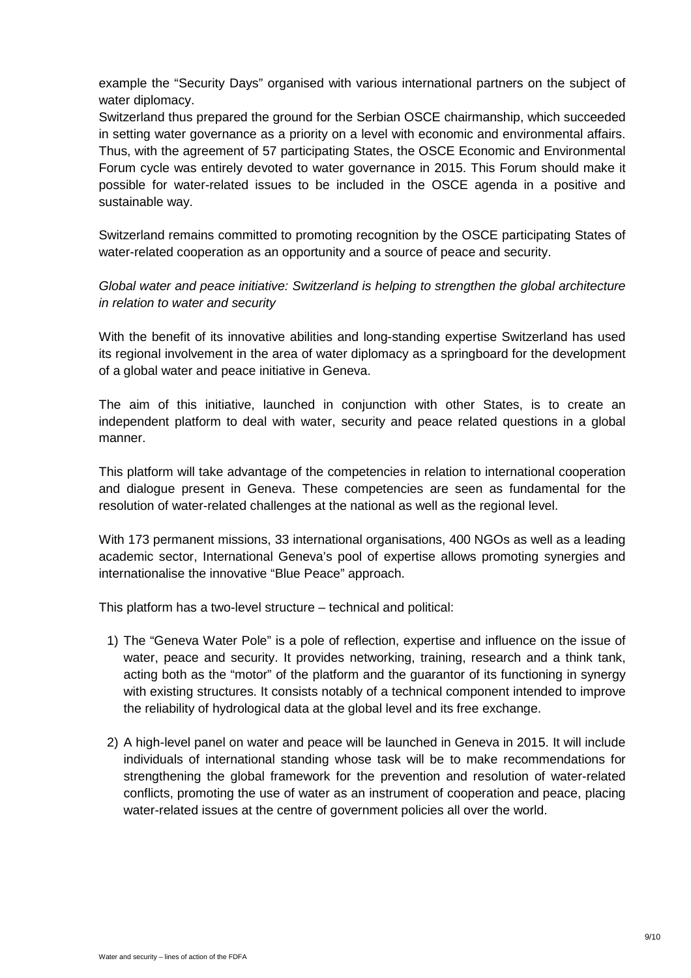example the "Security Days" organised with various international partners on the subject of water diplomacy.

Switzerland thus prepared the ground for the Serbian OSCE chairmanship, which succeeded in setting water governance as a priority on a level with economic and environmental affairs. Thus, with the agreement of 57 participating States, the OSCE Economic and Environmental Forum cycle was entirely devoted to water governance in 2015. This Forum should make it possible for water-related issues to be included in the OSCE agenda in a positive and sustainable way.

Switzerland remains committed to promoting recognition by the OSCE participating States of water-related cooperation as an opportunity and a source of peace and security.

Global water and peace initiative: Switzerland is helping to strengthen the global architecture in relation to water and security

With the benefit of its innovative abilities and long-standing expertise Switzerland has used its regional involvement in the area of water diplomacy as a springboard for the development of a global water and peace initiative in Geneva.

The aim of this initiative, launched in conjunction with other States, is to create an independent platform to deal with water, security and peace related questions in a global manner.

This platform will take advantage of the competencies in relation to international cooperation and dialogue present in Geneva. These competencies are seen as fundamental for the resolution of water-related challenges at the national as well as the regional level.

With 173 permanent missions, 33 international organisations, 400 NGOs as well as a leading academic sector, International Geneva's pool of expertise allows promoting synergies and internationalise the innovative "Blue Peace" approach.

This platform has a two-level structure – technical and political:

- 1) The "Geneva Water Pole" is a pole of reflection, expertise and influence on the issue of water, peace and security. It provides networking, training, research and a think tank, acting both as the "motor" of the platform and the guarantor of its functioning in synergy with existing structures. It consists notably of a technical component intended to improve the reliability of hydrological data at the global level and its free exchange.
- 2) A high-level panel on water and peace will be launched in Geneva in 2015. It will include individuals of international standing whose task will be to make recommendations for strengthening the global framework for the prevention and resolution of water-related conflicts, promoting the use of water as an instrument of cooperation and peace, placing water-related issues at the centre of government policies all over the world.